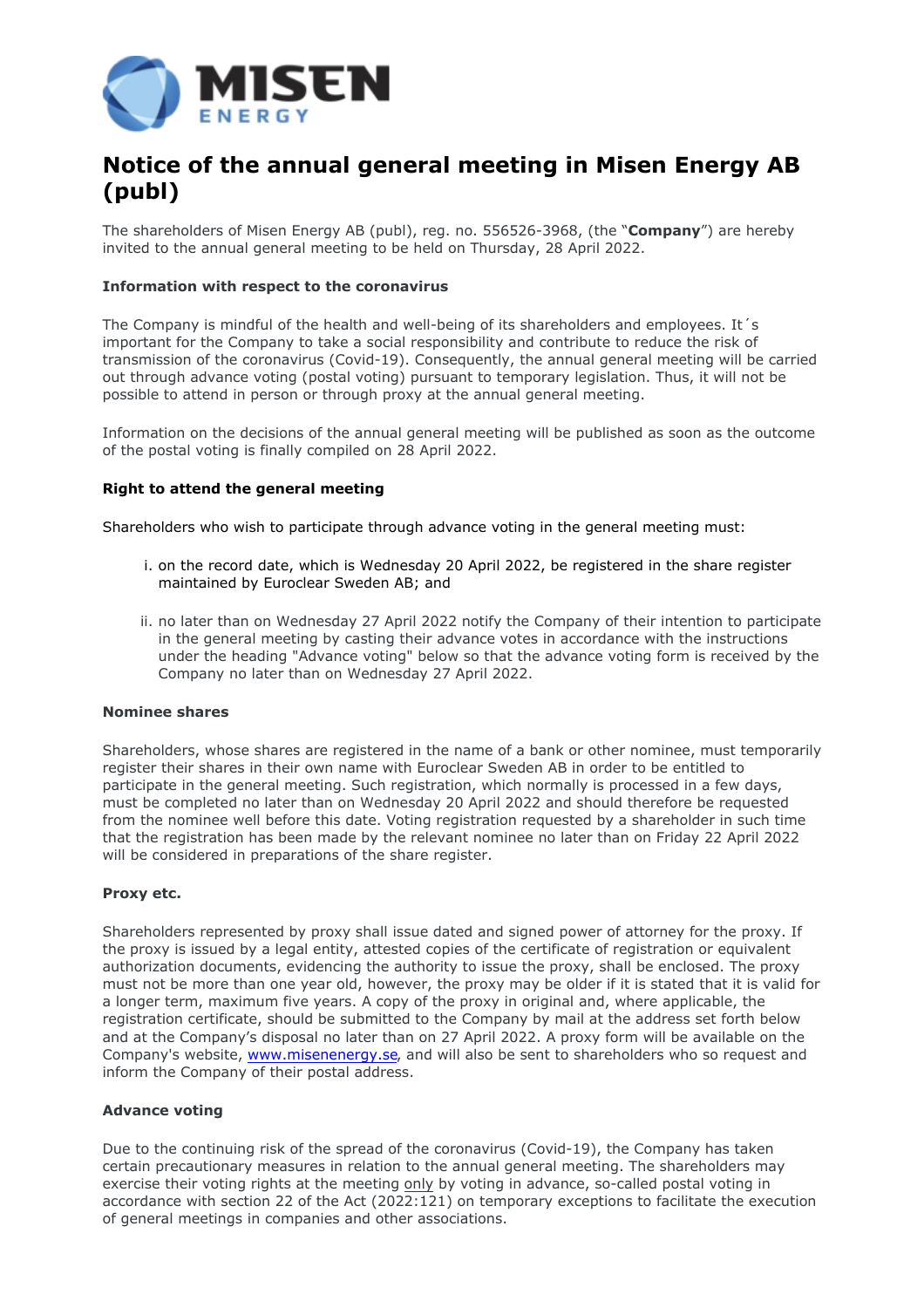

# **Notice of the annual general meeting in Misen Energy AB (publ)**

The shareholders of Misen Energy AB (publ), reg. no. 556526-3968, (the "**Company**") are hereby invited to the annual general meeting to be held on Thursday, 28 April 2022.

# **Information with respect to the coronavirus**

The Company is mindful of the health and well-being of its shareholders and employees. It´s important for the Company to take a social responsibility and contribute to reduce the risk of transmission of the coronavirus (Covid-19). Consequently, the annual general meeting will be carried out through advance voting (postal voting) pursuant to temporary legislation. Thus, it will not be possible to attend in person or through proxy at the annual general meeting.

Information on the decisions of the annual general meeting will be published as soon as the outcome of the postal voting is finally compiled on 28 April 2022.

# **Right to attend the general meeting**

Shareholders who wish to participate through advance voting in the general meeting must:

- i. on the record date, which is Wednesday 20 April 2022, be registered in the share register maintained by Euroclear Sweden AB; and
- ii. no later than on Wednesday 27 April 2022 notify the Company of their intention to participate in the general meeting by casting their advance votes in accordance with the instructions under the heading "Advance voting" below so that the advance voting form is received by the Company no later than on Wednesday 27 April 2022.

# **Nominee shares**

Shareholders, whose shares are registered in the name of a bank or other nominee, must temporarily register their shares in their own name with Euroclear Sweden AB in order to be entitled to participate in the general meeting. Such registration, which normally is processed in a few days, must be completed no later than on Wednesday 20 April 2022 and should therefore be requested from the nominee well before this date. Voting registration requested by a shareholder in such time that the registration has been made by the relevant nominee no later than on Friday 22 April 2022 will be considered in preparations of the share register.

# **Proxy etc.**

Shareholders represented by proxy shall issue dated and signed power of attorney for the proxy. If the proxy is issued by a legal entity, attested copies of the certificate of registration or equivalent authorization documents, evidencing the authority to issue the proxy, shall be enclosed. The proxy must not be more than one year old, however, the proxy may be older if it is stated that it is valid for a longer term, maximum five years. A copy of the proxy in original and, where applicable, the registration certificate, should be submitted to the Company by mail at the address set forth below and at the Company's disposal no later than on 27 April 2022. A proxy form will be available on the Company's website, [www.misenenergy.se](http://www.misenenergy.se/), and will also be sent to shareholders who so request and inform the Company of their postal address.

# **Advance voting**

Due to the continuing risk of the spread of the coronavirus (Covid-19), the Company has taken certain precautionary measures in relation to the annual general meeting. The shareholders may exercise their voting rights at the meeting only by voting in advance, so-called postal voting in accordance with section 22 of the Act (2022:121) on temporary exceptions to facilitate the execution of general meetings in companies and other associations.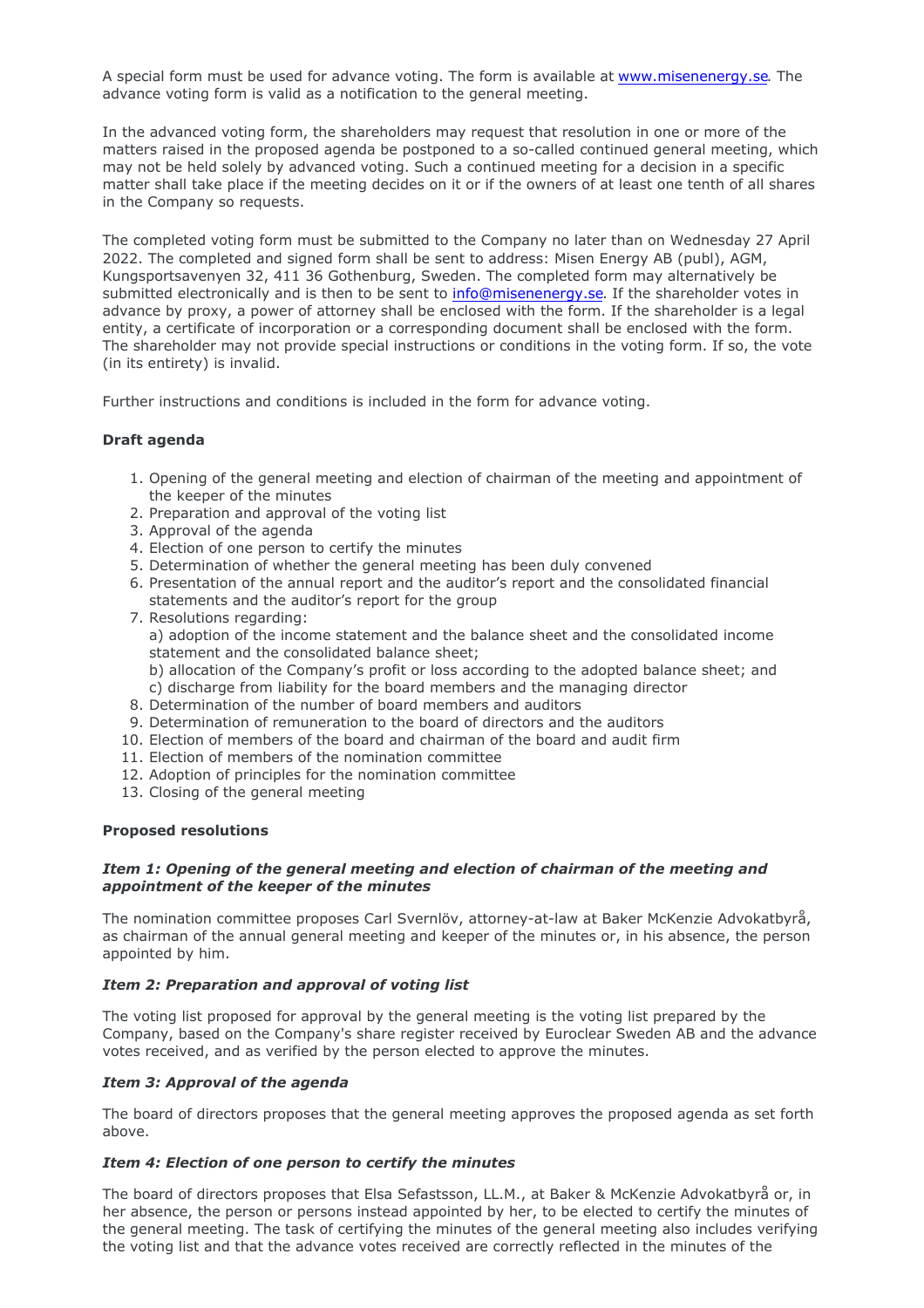A special form must be used for advance voting. The form is available at [www.misenenergy.se.](http://www.misenenergy.se/) The advance voting form is valid as a notification to the general meeting.

In the advanced voting form, the shareholders may request that resolution in one or more of the matters raised in the proposed agenda be postponed to a so-called continued general meeting, which may not be held solely by advanced voting. Such a continued meeting for a decision in a specific matter shall take place if the meeting decides on it or if the owners of at least one tenth of all shares in the Company so requests.

The completed voting form must be submitted to the Company no later than on Wednesday 27 April 2022. The completed and signed form shall be sent to address: Misen Energy AB (publ), AGM, Kungsportsavenyen 32, 411 36 Gothenburg, Sweden. The completed form may alternatively be submitted electronically and is then to be sent to [info@misenenergy.se.](mailto:info@misenenergy.se) If the shareholder votes in advance by proxy, a power of attorney shall be enclosed with the form. If the shareholder is a legal entity, a certificate of incorporation or a corresponding document shall be enclosed with the form. The shareholder may not provide special instructions or conditions in the voting form. If so, the vote (in its entirety) is invalid.

Further instructions and conditions is included in the form for advance voting.

# **Draft agenda**

- 1. Opening of the general meeting and election of chairman of the meeting and appointment of the keeper of the minutes
- 2. Preparation and approval of the voting list
- 3. Approval of the agenda
- 4. Election of one person to certify the minutes
- 5. Determination of whether the general meeting has been duly convened
- 6. Presentation of the annual report and the auditor's report and the consolidated financial statements and the auditor's report for the group
- 7. Resolutions regarding:
	- a) adoption of the income statement and the balance sheet and the consolidated income statement and the consolidated balance sheet;
	- b) allocation of the Company's profit or loss according to the adopted balance sheet; and c) discharge from liability for the board members and the managing director
- 8. Determination of the number of board members and auditors
- 9. Determination of remuneration to the board of directors and the auditors
- 10. Election of members of the board and chairman of the board and audit firm
- 11. Election of members of the nomination committee
- 12. Adoption of principles for the nomination committee
- 13. Closing of the general meeting

#### **Proposed resolutions**

# *Item 1: Opening of the general meeting and election of chairman of the meeting and appointment of the keeper of the minutes*

The nomination committee proposes Carl Svernlöv, attorney-at-law at Baker McKenzie Advokatbyrå, as chairman of the annual general meeting and keeper of the minutes or, in his absence, the person appointed by him.

#### *Item 2: Preparation and approval of voting list*

The voting list proposed for approval by the general meeting is the voting list prepared by the Company, based on the Company's share register received by Euroclear Sweden AB and the advance votes received, and as verified by the person elected to approve the minutes.

# *Item 3: Approval of the agenda*

The board of directors proposes that the general meeting approves the proposed agenda as set forth above.

#### *Item 4: Election of one person to certify the minutes*

The board of directors proposes that Elsa Sefastsson, LL.M., at Baker & McKenzie Advokatbyrå or, in her absence, the person or persons instead appointed by her, to be elected to certify the minutes of the general meeting. The task of certifying the minutes of the general meeting also includes verifying the voting list and that the advance votes received are correctly reflected in the minutes of the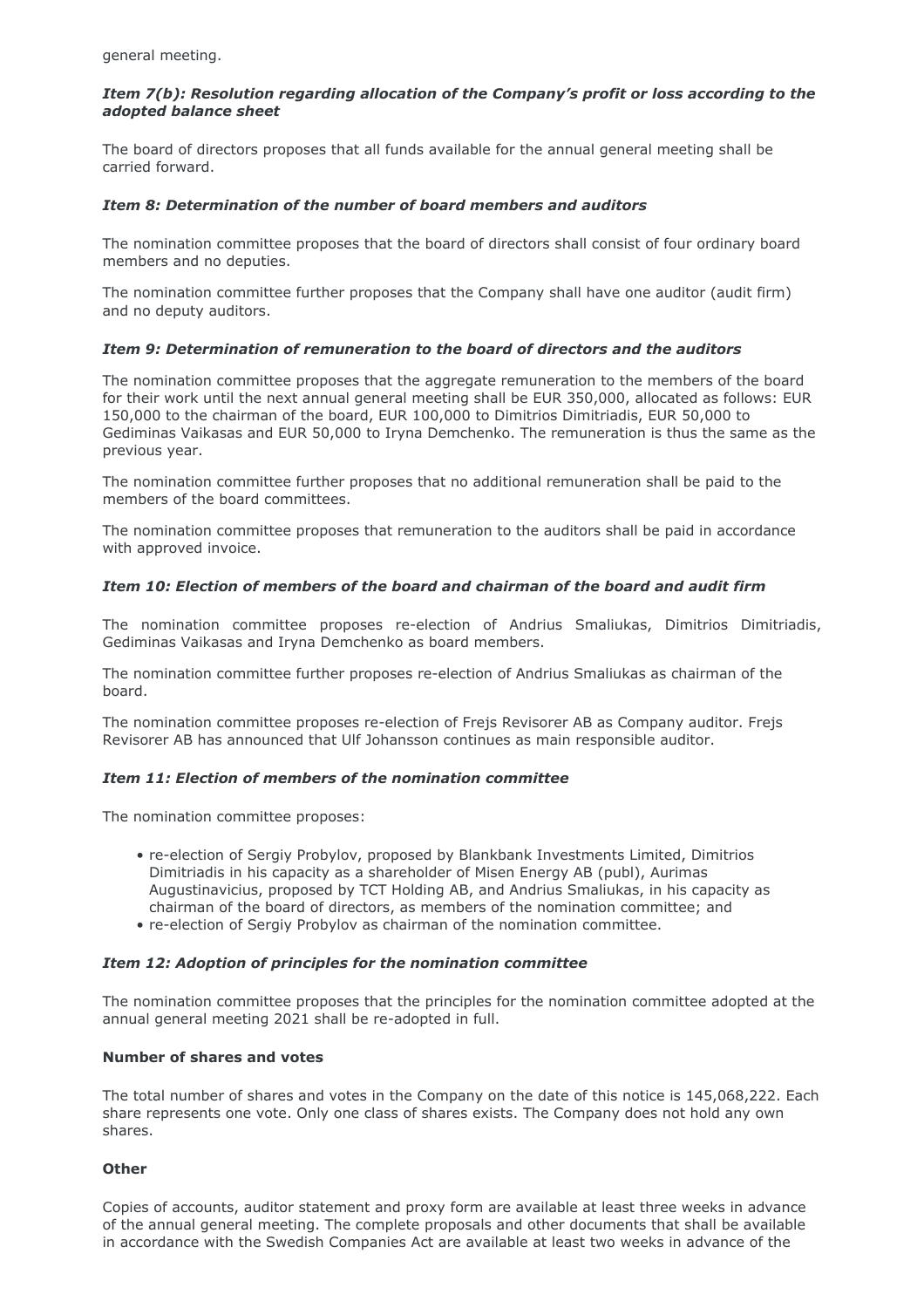general meeting.

# *Item 7(b): Resolution regarding allocation of the Company's profit or loss according to the adopted balance sheet*

The board of directors proposes that all funds available for the annual general meeting shall be carried forward.

# *Item 8: Determination of the number of board members and auditors*

The nomination committee proposes that the board of directors shall consist of four ordinary board members and no deputies.

The nomination committee further proposes that the Company shall have one auditor (audit firm) and no deputy auditors.

# *Item 9: Determination of remuneration to the board of directors and the auditors*

The nomination committee proposes that the aggregate remuneration to the members of the board for their work until the next annual general meeting shall be EUR 350,000, allocated as follows: EUR 150,000 to the chairman of the board, EUR 100,000 to Dimitrios Dimitriadis, EUR 50,000 to Gediminas Vaikasas and EUR 50,000 to Iryna Demchenko. The remuneration is thus the same as the previous year.

The nomination committee further proposes that no additional remuneration shall be paid to the members of the board committees.

The nomination committee proposes that remuneration to the auditors shall be paid in accordance with approved invoice.

# *Item 10: Election of members of the board and chairman of the board and audit firm*

The nomination committee proposes re-election of Andrius Smaliukas, Dimitrios Dimitriadis, Gediminas Vaikasas and Iryna Demchenko as board members.

The nomination committee further proposes re-election of Andrius Smaliukas as chairman of the board.

The nomination committee proposes re-election of Frejs Revisorer AB as Company auditor. Frejs Revisorer AB has announced that Ulf Johansson continues as main responsible auditor.

# *Item 11: Election of members of the nomination committee*

The nomination committee proposes:

- re-election of Sergiy Probylov, proposed by Blankbank Investments Limited, Dimitrios Dimitriadis in his capacity as a shareholder of Misen Energy AB (publ), Aurimas Augustinavicius, proposed by TCT Holding AB, and Andrius Smaliukas, in his capacity as chairman of the board of directors, as members of the nomination committee; and
- re-election of Sergiy Probylov as chairman of the nomination committee.

# *Item 12: Adoption of principles for the nomination committee*

The nomination committee proposes that the principles for the nomination committee adopted at the annual general meeting 2021 shall be re-adopted in full.

# **Number of shares and votes**

The total number of shares and votes in the Company on the date of this notice is 145,068,222. Each share represents one vote. Only one class of shares exists. The Company does not hold any own shares.

# **Other**

Copies of accounts, auditor statement and proxy form are available at least three weeks in advance of the annual general meeting. The complete proposals and other documents that shall be available in accordance with the Swedish Companies Act are available at least two weeks in advance of the